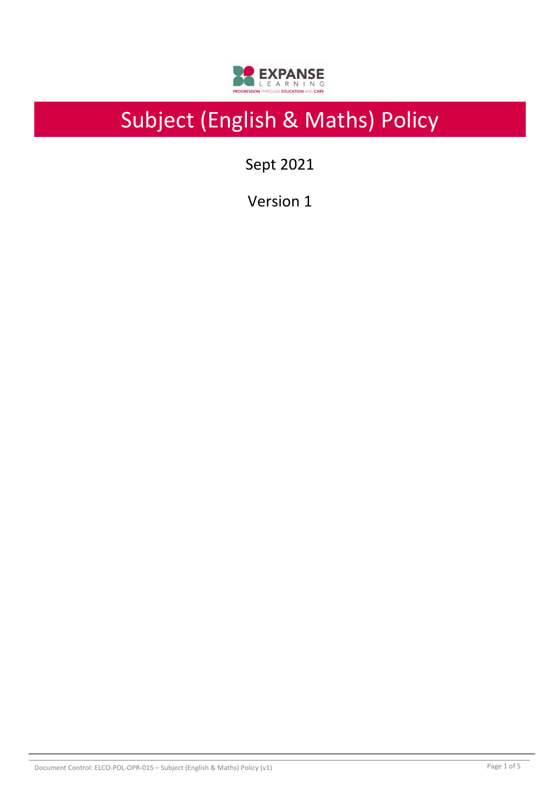

# Subject (English & Maths) Policy

Sept 2021

Version 1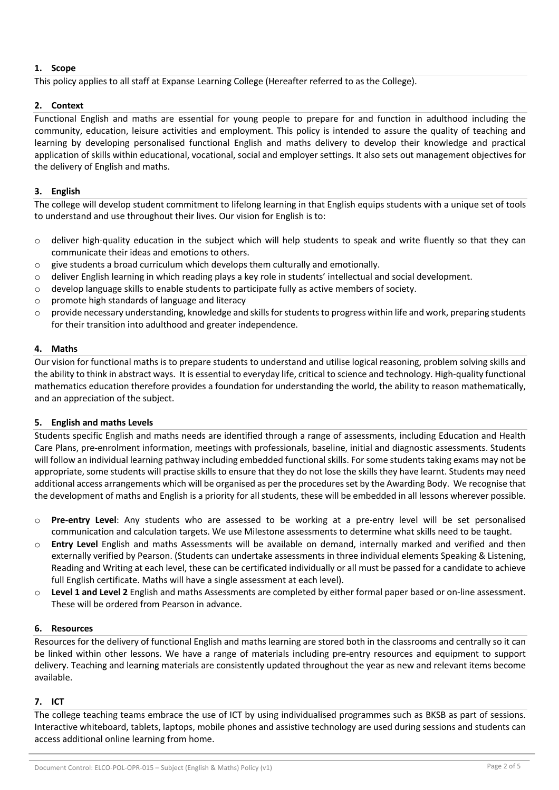# **1. Scope**

This policy applies to all staff at Expanse Learning College (Hereafter referred to as the College).

# **2. Context**

Functional English and maths are essential for young people to prepare for and function in adulthood including the community, education, leisure activities and employment. This policy is intended to assure the quality of teaching and learning by developing personalised functional English and maths delivery to develop their knowledge and practical application of skills within educational, vocational, social and employer settings. It also sets out management objectives for the delivery of English and maths.

# **3. English**

The college will develop student commitment to lifelong learning in that English equips students with a unique set of tools to understand and use throughout their lives. Our vision for English is to:

- $\circ$  deliver high-quality education in the subject which will help students to speak and write fluently so that they can communicate their ideas and emotions to others.
- $\circ$  give students a broad curriculum which develops them culturally and emotionally.
- o deliver English learning in which reading plays a key role in students' intellectual and social development.
- $\circ$  develop language skills to enable students to participate fully as active members of society.
- o promote high standards of language and literacy
- $\circ$  provide necessary understanding, knowledge and skills for students to progress within life and work, preparing students for their transition into adulthood and greater independence.

### **4. Maths**

Our vision for functional maths is to prepare students to understand and utilise logical reasoning, problem solving skills and the ability to think in abstract ways. It is essential to everyday life, critical to science and technology. High-quality functional mathematics education therefore provides a foundation for understanding the world, the ability to reason mathematically, and an appreciation of the subject.

### **5. English and maths Levels**

Students specific English and maths needs are identified through a range of assessments, including Education and Health Care Plans, pre-enrolment information, meetings with professionals, baseline, initial and diagnostic assessments. Students will follow an individual learning pathway including embedded functional skills. For some students taking exams may not be appropriate, some students will practise skills to ensure that they do not lose the skills they have learnt. Students may need additional access arrangements which will be organised as per the procedures set by the Awarding Body. We recognise that the development of maths and English is a priority for all students, these will be embedded in all lessons wherever possible.

- o **Pre-entry Level**: Any students who are assessed to be working at a pre-entry level will be set personalised communication and calculation targets. We use Milestone assessments to determine what skills need to be taught.
- o **Entry Level** English and maths Assessments will be available on demand, internally marked and verified and then externally verified by Pearson. (Students can undertake assessments in three individual elements Speaking & Listening, Reading and Writing at each level, these can be certificated individually or all must be passed for a candidate to achieve full English certificate. Maths will have a single assessment at each level).
- o **Level 1 and Level 2** English and maths Assessments are completed by either formal paper based or on-line assessment. These will be ordered from Pearson in advance.

### **6. Resources**

Resources for the delivery of functional English and maths learning are stored both in the classrooms and centrally so it can be linked within other lessons. We have a range of materials including pre-entry resources and equipment to support delivery. Teaching and learning materials are consistently updated throughout the year as new and relevant items become available.

### **7. ICT**

The college teaching teams embrace the use of ICT by using individualised programmes such as BKSB as part of sessions. Interactive whiteboard, tablets, laptops, mobile phones and assistive technology are used during sessions and students can access additional online learning from home.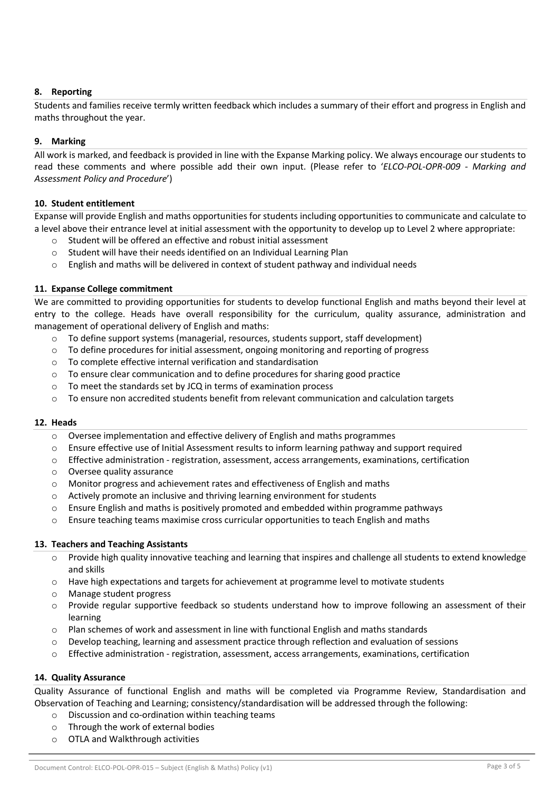# **8. Reporting**

Students and families receive termly written feedback which includes a summary of their effort and progress in English and maths throughout the year.

### **9. Marking**

All work is marked, and feedback is provided in line with the Expanse Marking policy. We always encourage our students to read these comments and where possible add their own input. (Please refer to '*ELCO-POL-OPR-009 - Marking and Assessment Policy and Procedure*')

#### **10. Student entitlement**

Expanse will provide English and maths opportunities for students including opportunities to communicate and calculate to a level above their entrance level at initial assessment with the opportunity to develop up to Level 2 where appropriate:

- o Student will be offered an effective and robust initial assessment
- o Student will have their needs identified on an Individual Learning Plan
- $\circ$  English and maths will be delivered in context of student pathway and individual needs

### **11. Expanse College commitment**

We are committed to providing opportunities for students to develop functional English and maths beyond their level at entry to the college. Heads have overall responsibility for the curriculum, quality assurance, administration and management of operational delivery of English and maths:

- o To define support systems (managerial, resources, students support, staff development)
- $\circ$  To define procedures for initial assessment, ongoing monitoring and reporting of progress
- o To complete effective internal verification and standardisation
- o To ensure clear communication and to define procedures for sharing good practice
- o To meet the standards set by JCQ in terms of examination process
- $\circ$  To ensure non accredited students benefit from relevant communication and calculation targets

### **12. Heads**

- o Oversee implementation and effective delivery of English and maths programmes
- o Ensure effective use of Initial Assessment results to inform learning pathway and support required
- $\circ$  Effective administration registration, assessment, access arrangements, examinations, certification
- o Oversee quality assurance
- o Monitor progress and achievement rates and effectiveness of English and maths
- o Actively promote an inclusive and thriving learning environment for students
- $\circ$  Ensure English and maths is positively promoted and embedded within programme pathways
- $\circ$  Ensure teaching teams maximise cross curricular opportunities to teach English and maths

### **13. Teachers and Teaching Assistants**

- $\circ$  Provide high quality innovative teaching and learning that inspires and challenge all students to extend knowledge and skills
- $\circ$  Have high expectations and targets for achievement at programme level to motivate students
- o Manage student progress
- $\circ$  Provide regular supportive feedback so students understand how to improve following an assessment of their learning
- o Plan schemes of work and assessment in line with functional English and maths standards
- o Develop teaching, learning and assessment practice through reflection and evaluation of sessions
- $\circ$  Effective administration registration, assessment, access arrangements, examinations, certification

### **14. Quality Assurance**

Quality Assurance of functional English and maths will be completed via Programme Review, Standardisation and Observation of Teaching and Learning; consistency/standardisation will be addressed through the following:

- o Discussion and co-ordination within teaching teams
- o Through the work of external bodies
- o OTLA and Walkthrough activities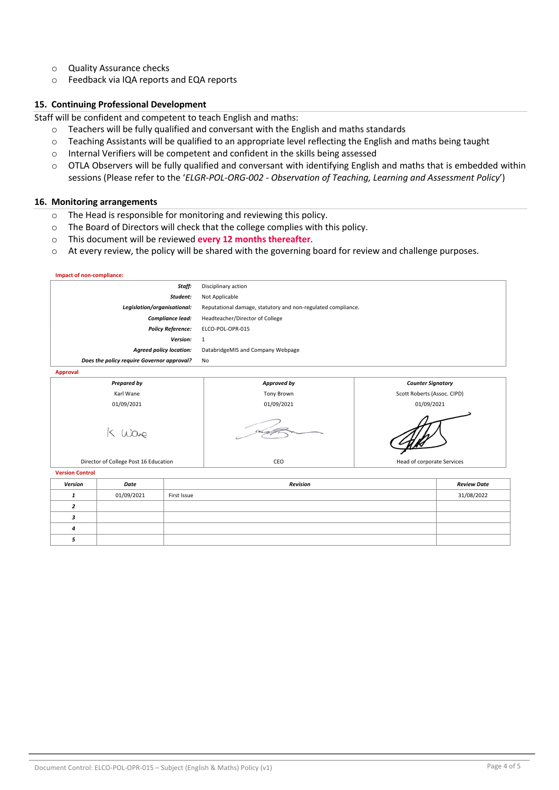- o Quality Assurance checks
- o Feedback via IQA reports and EQA reports

#### **15. Continuing Professional Development**

Staff will be confident and competent to teach English and maths:

- o Teachers will be fully qualified and conversant with the English and maths standards
- $\circ$  Teaching Assistants will be qualified to an appropriate level reflecting the English and maths being taught
- o Internal Verifiers will be competent and confident in the skills being assessed
- o OTLA Observers will be fully qualified and conversant with identifying English and maths that is embedded within sessions (Please refer to the '*ELGR-POL-ORG-002 - Observation of Teaching, Learning and Assessment Policy*')

#### **16. Monitoring arrangements**

*4 5*

- o The Head is responsible for monitoring and reviewing this policy.
- o The Board of Directors will check that the college complies with this policy.
- o This document will be reviewed **every 12 months thereafter**.
- o At every review, the policy will be shared with the governing board for review and challenge purposes.

| Impact of non-compliance:                  |            |                 |                                                              |                            |                             |  |
|--------------------------------------------|------------|-----------------|--------------------------------------------------------------|----------------------------|-----------------------------|--|
| Staff:                                     |            |                 | Disciplinary action                                          |                            |                             |  |
| Student:                                   |            |                 | Not Applicable                                               |                            |                             |  |
| Legislation/organisational:                |            |                 | Reputational damage, statutory and non-regulated compliance. |                            |                             |  |
| Compliance lead:                           |            |                 | Headteacher/Director of College                              |                            |                             |  |
| <b>Policy Reference:</b>                   |            |                 | ELCO-POL-OPR-015                                             |                            |                             |  |
| Version:                                   |            |                 | $\mathbf{1}$                                                 |                            |                             |  |
| <b>Agreed policy location:</b>             |            |                 | DatabridgeMIS and Company Webpage                            |                            |                             |  |
| Does the policy require Governor approval? |            |                 | No                                                           |                            |                             |  |
| <b>Approval</b>                            |            |                 |                                                              |                            |                             |  |
| <b>Prepared by</b>                         |            |                 | Approved by                                                  |                            | <b>Counter Signatory</b>    |  |
| Karl Wane                                  |            |                 | <b>Tony Brown</b>                                            |                            | Scott Roberts (Assoc. CIPD) |  |
| 01/09/2021                                 |            |                 | 01/09/2021                                                   | 01/09/2021                 |                             |  |
| Gove                                       |            |                 |                                                              |                            |                             |  |
| Director of College Post 16 Education      |            |                 | CEO                                                          | Head of corporate Services |                             |  |
| <b>Version Control</b>                     |            |                 |                                                              |                            |                             |  |
| Version                                    | Date       | <b>Revision</b> |                                                              | <b>Review Date</b>         |                             |  |
| 1                                          | 01/09/2021 | First Issue     |                                                              |                            | 31/08/2022                  |  |
| $\overline{z}$                             |            |                 |                                                              |                            |                             |  |
| 3                                          |            |                 |                                                              |                            |                             |  |